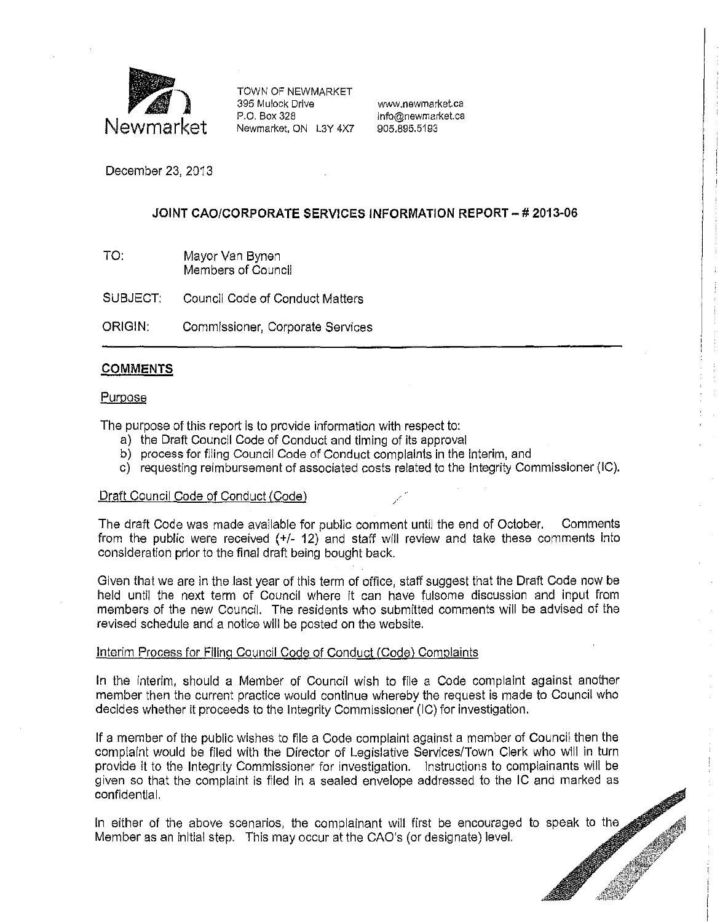

TOWN OF NEWMARKET 395 Mulock Drive www.newmarket.ca<br>P.O. Box 328 mfo@newmarket.ca Newmarket, ON L3Y 4X7

info@newmarket.ca<br>905.895.5193

 $\vert$ 

December 23, 2013

# **JOINT CAO/CORPORATE SERVICES INFORMATION REPORT-# 2013-06**

TO: Mayor Van Bynen Members of Council

SUBJECT: Council Code of Conduct Matters

ORIGIN: Commissioner, Corporate Services

## **COMMENTS**

## Purpose

The purpose of this report is to provide information with respect to:

- a) the Draft Council Code of Conduct and timing of its approval
- b) process for filing Council Code of Conduct complaints in the interim, and
- c) requesting reimbursement of associated costs related to the Integrity Commissioner (IC).

## Draft Council Code of Conduct (Code)

The draft Code was made available for public comment until the end of October. Comments from the public were received (+/- 12) and staff will review and take these comments into consideration prior to the final draft being bought back.

Given that we are in the last year of this term of office, staff suggest that the Draft Code now be held until the next term of Council where it can have fulsome discussion and input from members of the new Council. The residents who submitted comments will be advised of the revised schedule and a notice will be posted on the website.

## Interim Process for Filing Council Code of Conduct (Code) Complaints

In the interim, should a Member of Council wish to file a Code complaint against another member then the current practice would continue whereby the request is made to Council who decides whether it proceeds to the Integrity Commissioner (IC) for investigation.

If a member of the public wishes to file a Code complaint against a member of Council then the complaint would be filed with the Director of Legislative Services/Town Clerk who will in turn provide it to the Integrity Commissioner for investigation. Instructions to complainants will be given so that the complaint is filed in a sealed envelope addressed to the IC and marked as confidential.

In either of the above scenarios, the complainant will first be encouraged to speak to the Member as an initial step. This may occur at the CAO's (or designate) level.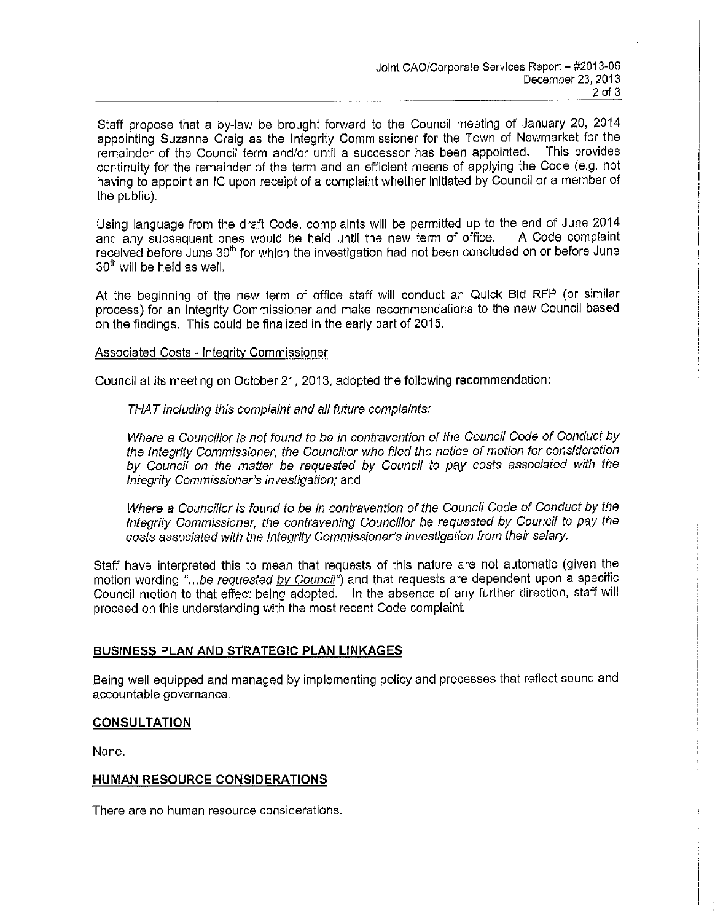Staff propose that a by-law be brought forward to the Council meeting of January 20, 2014 appointing Suzanne Craig as the Integrity Commissioner for the Town of Newmarket for the remainder of the Council term and/or until a successor has been appointed. This provides remainder of the Council term and/or until a successor has been appointed. continuity for the remainder of the term and an efficient means of applying the Code (e.g. not having to appoint an IC upon receipt of a complaint whether initiated by Council or a member of the public).

Using language from the draft Code, complaints will be permitted up to the end of June 2014 and any subsequent ones would be held until the new term of office. received before June 30'h for which the investigation had not been concluded on or before June  $30^{\text{th}}$  will be held as well.

At the beginning of the new term of office staff will conduct an Quick Bid RFP (or similar process) for an Integrity Commissioner and make recommendations to the new Council based on the findings. This could be finalized in the early part of 2015.

Associated Costs - Integrity Commissioner

Council at its meeting on October 21, 2013, adopted the following recommendation:

THAT including this complaint end ell future complaints:

Where a Councillor is not found to be in contravention of the Council Code of Conduct by the Integrity Commissioner, the Councillor who filed the notice of motion for consideration by Council on the matter be requested by Council to pay costs associated with the Integrity Commissioner's investigation; and

Where a Councillor is found to be in contravention of the Council Code of Conduct by the Integrity Commissioner, the contravening Councillor be requested by Council to pay the costs associated with the Integrity Commissioner's investigation from their salary.

Staff have interpreted this to mean that requests of this nature are not automatic (given the motion wording "...be requested by Council") and that requests are dependent upon a specific Council motion to that effect being adopted. In the absence of any further direction, staff will proceed on this understanding with the most recent Code complaint.

#### **BUSINESS PLAN AND STRATEGIC PLAN LINKAGES**

Being well equipped and managed by implementing policy and processes that reflect sound and accountable governance.

#### **CONSULTATION**

None.

#### **HUMAN RESOURCE CONSIDERATIONS**

There are no human resource considerations.